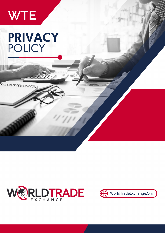

# PRIVACY POLICY





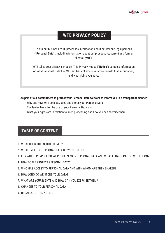### **WTE PRIVACY POLICY**

To run our business, WTE processes information about natural and legal persons ("**Personal Data**"), including information about our prospective, current and former clients ("**you**").

WTE takes your privacy seriously. This Privacy Notice ("**Notice**") contains information on what Personal Data the WTE entities collect(s), what we do with that information, and what rights you have.

**As part of our commitment to protect your Personal Data we want to inform you in a transparent manner:**

- Why and how WTE collects, uses and stores your Personal Data;
- The lawful basis for the use of your Personal Data; and
- What your rights are in relation to such processing and how you can exercise them.

### **TABLE OF CONTENT**

- 1. WHAT DOES THIS NOTICE COVER?
- 2. WHAT TYPES OF PERSONAL DATA DO WE COLLECT?
- 3. FOR WHICH PURPOSE DO WE PROCESS YOUR PERSONAL DATA AND WHAT LEGAL BASIS DO WE RELY ON?
- 4. HOW DO WE PROTECT PERSONAL DATA?
- 5. WHO HAS ACCESS TO PERSONAL DATA AND WITH WHOM ARE THEY SHARED?
- 6. HOW LONG DO WE STORE YOUR DATA?
- 7. WHAT ARE YOUR RIGHTS AND HOW CAN YOU EXERCISE THEM?
- 8. CHANGES TO YOUR PERSONAL DATA
- 9. UPDATES TO THIS NOTICE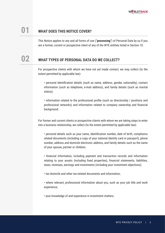

# **01 WHAT DOES THIS NOTICE COVER?**

This Notice applies to any and all forms of use ("**processing**") of Personal Data by us if you are a former, current or prospective client of any of the WTE entities listed in Section 10.

### **02 WHAT TYPES OF PERSONAL DATA DO WE COLLECT?**

For prospective clients with whom we have not yet made contact, we may collect (to the extent permitted by applicable law):

• personal identification details (such as name, address, gender, nationality), contact information (such as telephone, e-mail address), and family details (such as marital status);

• information related to the professional profile (such as directorship / positions and professional networks) and information related to company ownership and financial background.

For former and current clients or prospective clients with whom we are taking steps to enter into a business relationship, we collect (to the extent permitted by applicable law):

• personal details such as your name, identification number, date of birth, compliance related documents (including a copy of your national identity card or passport), phone number, address and domicile electronic address, and family details such as the name of your spouse, partner or children;

• financial information, including payment and transaction records and information relating to your assets (including fixed properties), financial statements, liabilities, taxes, revenues, earnings and investments (including your investment objectives);

• tax domicile and other tax-related documents and information;

• where relevant, professional information about you, such as your job title and work experience;

• your knowledge of and experience in investment matters;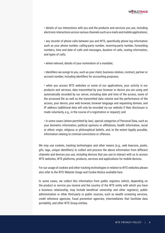• details of our interactions with you and the products and services you use, including electronic interactions across various channels such as e-mails and mobile applications;

• any records of phone calls between you and WTE, specifically phone log information such as your phone number, calling-party number, receiving-party number, forwarding numbers, time and date of calls and messages, duration of calls, routing information, and types of calls;

• where relevant, details of your nomination of a mandate;

• identifiers we assign to you, such as your client, business relation, contract, partner or account number, including identifiers for accounting purposes;

• when you access WTE websites or some of our applications, your activity in our products and services, data transmitted by your browser or device you are using and automatically recorded by our server, including date and time of the access, name of the accessed file as well as the transmitted data volume and the performance of the access, your device, your web browser, browser language and requesting domain, and IP address (additional data will only be recorded via our website if their disclosure is made voluntarily, e.g., in the course of a registration or request); and

• in some cases (where permitted by law), special categories of Personal Data, such as your biometric information, political opinions or affiliations, health information, racial or ethnic origin, religious or philosophical beliefs, and, to the extent legally possible, information relating to criminal convictions or offences.

We may use cookies, tracking technologies and other means (e.g., web beacons, pixels, gifs, tags, unique identifiers) to collect and process the above information from different channels and devices you use, including devices that you use to interact with us to access WTE websites, WTE platforms, products, services and applications for mobile devices.

For our usage of cookies and other tracking technologies in relation to WTE websites please also refer to the WTE Website Usage and Cookie Notice available here.

In some cases, we collect this information from public registers (which, depending on the product or service you receive and the country of the WTE entity with which you have a business relationship, may include beneficial ownership and other registers), public administration or other third-party or public sources, such as wealth screening services, credit reference agencies, fraud prevention agencies, intermediaries that facilitate data portability, and other WTE Group entities.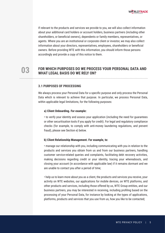

If relevant to the products and services we provide to you, we will also collect information about your additional card holders or account holders, business partners (including other shareholders, or beneficial owners), dependents or family members, representatives, or agents. Where you are an institutional or corporate client or investor, we may also collect information about your directors, representatives, employees, shareholders or beneficial owners. Before providing WTE with this information, you should inform those persons accordingly and provide a copy of this notice to them.

**The Seart of Search PURPOSES DO WE PROCESS YOUR PERSONAL DATA AND WHAT LEGAL BASIS DO WE RELY ON?** 

### **3.1 PURPOSES OF PROCESSING**

We always process your Personal Data for a specific purpose and only process the Personal Data which is relevant to achieve that purpose. In particular, we process Personal Data, within applicable legal limitations, for the following purposes:

#### **a) Client Onboarding. For example:**

• to verify your identity and assess your application (including the need for guarantees or other securitisation tools if you apply for credit). For legal and regulatory compliance checks (for example, to comply with anti-money laundering regulations, and prevent fraud), please see Section e) below.

#### **b) Client Relationship Management. For example, to:**

• manage our relationship with you, including communicating with you in relation to the products and services you obtain from us and from our business partners, handling customer service-related queries and complaints, facilitating debt recovery activities, making decisions regarding credit or your identity, tracing your whereabouts, and closing your account (in accordance with applicable law) if it remains dormant and we are unable to contact you after a period of time;

• help us to learn more about you as a client, the products and services you receive, your activity on WTE websites, our applications for mobile devices, on WTE platforms, and other products and services, including those offered by us, WTE Group entities, and our business partners, you may be interested in receiving, including profiling based on the processing of your Personal Data, for instance by looking at the types of applications, platforms, products and services that you use from us, how you like to be contacted;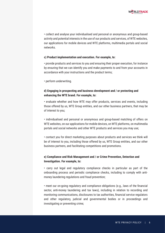

• collect and analyse your individualised and personal or anonymous and group-based activity and potential interests in the use of our products and services, of WTE websites, our applications for mobile devices and WTE platforms, multimedia portals and social networks.

### **c) Product implementation and execution. For example, to:**

• provide products and services to you and ensuring their proper execution, for instance by ensuring that we can identify you and make payments to and from your accounts in accordance with your instructions and the product terms;

• perform underwriting.

### **d) Engaging in prospecting and business development and / or protecting and enhancing the WTE brand. For example, to:**

• evaluate whether and how WTE may offer products, services and events, including those offered by us, WTE Group entities, and our other business partners, that may be of interest to you;

• individualised and personal or anonymous and group-based matching of offers on WTE websites, on our applications for mobile devices, on WTE platforms, on multimedia portals and social networks and other WTE products and services you may use;

• contact you for direct marketing purposes about products and services we think will be of interest to you, including those offered by us, WTE Group entities, and our other business partners, and facilitating competitions and promotions.

### **e) Compliance and Risk Management and / or Crime Prevention, Detection and Investigation. For example, to:**

• carry out legal and regulatory compliance checks in particular as part of the onboarding process and periodic compliance checks, including to comply with antimoney laundering regulations and fraud prevention;

• meet our on-going regulatory and compliance obligations (e.g., laws of the financial sector, anti-money laundering and tax laws), including in relation to recording and monitoring communications, disclosures to tax authorities, financial service regulators and other regulatory, judicial and governmental bodies or in proceedings and investigating or preventing crime;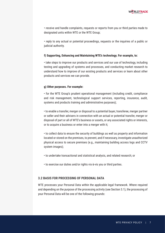

• receive and handle complaints, requests or reports from you or third parties made to designated units within WTE or the WTE Group;

• reply to any actual or potential proceedings, requests or the inquiries of a public or judicial authority.

#### **f) Supporting, Enhancing and Maintaining WTE's technology. For example, to:**

• take steps to improve our products and services and our use of technology, including testing and upgrading of systems and processes, and conducting market research to understand how to improve of our existing products and services or learn about other products and services we can provide.

#### **g) Other purposes. For example:**

• for the WTE Group's prudent operational management (including credit, compliance and risk management, technological support services, reporting, insurance, audit, systems and products training and administrative purposes);

• to enable a transfer, merger or disposal to a potential buyer, transferee, merger partner or seller and their advisers in connection with an actual or potential transfer, merger or disposal of part or all of WTE's business or assets, or any associated rights or interests, or to acquire a business or enter into a merger with it;

• to collect data to ensure the security of buildings as well as property and information located or stored on the premises, to prevent, and if necessary, investigate unauthorized physical access to secure premises (e.g., maintaining building access logs and CCTV system images);

- to undertake transactional and statistical analysis, and related research; or
- to exercise our duties and/or rights vis-à-vis you or third parties.

### **3.2 BASIS FOR PROCESSING OF PERSONAL DATA**

WTE processes your Personal Data within the applicable legal framework. Where required and depending on the purpose of the processing activity (see Section 3.1), the processing of your Personal Data will be one of the following grounds: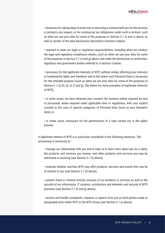

• necessary for taking steps to enter into or executing a contract with you for the services or products you request, or for carrying out our obligations under such a contract, such as when we use your data for some of the purposes in Section 3.1 a) and c) above, as well as certain of the data disclosures described in Section 5 below;

• required to meet our legal or regulatory responsibilities, including when we conduct the legal and regulatory compliance checks, such as when we use your data for some of the purposes in Section 3.1 e) and g) above, and make the disclosures to authorities, regulators and government bodies referred to in Section 5 below;

• necessary for the legitimate interests of WTE, without unduly affecting your interests or fundamental rights and freedoms and to the extent such Personal Data is necessary for the intended purpose (such as when we use your data for some of the purposes in Section 3.1 a), b), d), e), f) and g). See below for more examples of legitimate interests of WTE);

• in some cases, we have obtained your consent (for instance where required by law) or processed, where required under applicable laws or regulations, with your explicit consent in the case of special categories of Personal Data (such as your biometric data); or

• in some cases, necessary for the performance of a task carried out in the public interest.

A legitimate interest of WTE is in particular considered in the following instances. The processing is necessary to:

• manage our relationship with you and to help us to learn more about you as a client, the products and services you receive, and other products and services you may be interested in receiving (see Section 3.1 b) above);

• evaluate whether and how WTE may offer products, services and events that may be of interest to you (see Section 3.1 d) above);

• prevent fraud or criminal activity, misuses of our products or services as well as the security of our information, IT systems, architecture and networks and security of WTE premises (see Section 3.1 e) and g) above);

• receive and handle complaints, requests or reports from you or third parties made to designated units within WTE or the WTE Group (see Section 3.1 e) above);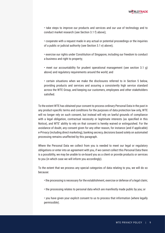• take steps to improve our products and services and our use of technology and to conduct market research (see Section 3.1 f) above);

• cooperate with a request made in any actual or potential proceedings or the inquiries of a public or judicial authority (see Section 3.1 e) above);

• exercise our rights under Constitution of Singapore, including our freedom to conduct a business and right to property;

• meet our accountability for prudent operational management (see section 3.1 g) above) and regulatory requirements around the world; and

• certain situations when we make the disclosures referred to in Section 5 below, providing products and services and assuring a consistently high service standard across the WTE Group, and keeping our customers, employees and other stakeholders satisfied.

To the extent WTE has obtained your consent to process ordinary Personal Data in the past in any product-specific terms and conditions for the purposes of data protection law only, WTE will no longer rely on such consent, but instead will rely on lawful grounds of compliance with a legal obligation, contractual necessity or legitimate interests (as specified in this Notice), and WTE' ability to rely on that consent is hereby waived or extinguished. For the avoidance of doubt, any consent given for any other reason, for instance (and if applicable) e-Privacy (including direct marketing), banking secrecy, decisions based solely on automated processing remains unaffected by this paragraph.

Where the Personal Data we collect from you is needed to meet our legal or regulatory obligations or enter into an agreement with you, if we cannot collect this Personal Data there is a possibility, we may be unable to on-board you as a client or provide products or services to you (in which case we will inform you accordingly).

To the extent that we process any special categories of data relating to you, we will do so because:

- the processing is necessary for the establishment, exercise or defense of a legal claim;
- the processing relates to personal data which are manifestly made public by you; or

• you have given your explicit consent to us to process that information (where legally permissible).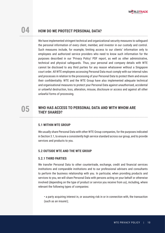

# **04 HOW DO WE PROTECT PERSONAL DATA?**

We have implemented stringent technical and organizational security measures to safeguard the personal information of every client, member, and investor in our custody and control. Such measures include, for example, limiting access to our clients' information only to employees and authorized service providers who need to know such information for the purposes described in our 'Privacy Policy' PDF report, as well as other administrative, technical and physical safeguards. Thus, your personal and company details with WTE cannot be disclosed to any third parties for any reason whatsoever without a Singapore court order. All WTE employees accessing Personal Data must comply with our internal rules and processes in relation to the processing of your Personal Data to protect them and ensure their confidentiality. WTE and the WTE Group have also implemented adequate technical and organisational measures to protect your Personal Data against unauthorised, accidental or unlawful destruction, loss, alteration, misuse, disclosure or access and against all other unlawful forms of processing.

# WHO HAS ACCESS TO PERSONAL DATA AND WITH WHOM ARE **THEY SHARED**?

### **5.1 WITHIN WTE GROUP**

We usually share Personal Data with other WTE Group companies, for the purposes indicated in Section 3.1, to ensure a consistently high service standard across our group, and to provide services and products to you.

### **5.2 OUTSIDE WTE AND THE WTE GROUP**

### **5.2.1 THIRD PARTIES**

We transfer Personal Data to other countertrade, exchange, credit and financial services institutions and comparable institutions and to our professional advisers and consultants to perform the business relationship with you. In particular, when providing products and services to you, we will share Personal Data with persons acting on your behalf or otherwise involved (depending on the type of product or service you receive from us), including, where relevant the following types of companies:

• a party acquiring interest in, or assuming risk in or in connection with, the transaction (such as an insurer);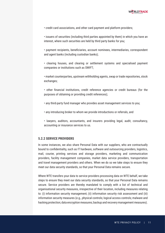

• credit card associations, and other card payment and platform providers;

• issuers of securities (including third parties appointed by them) in which you have an interest, where such securities are held by third party banks for you;

• payment recipients, beneficiaries, account nominees, intermediaries, correspondent and agent banks (including custodian banks);

• clearing houses, and clearing or settlement systems and specialised payment companies or institutions such as SWIFT;

• market counterparties, upstream withholding agents, swap or trade repositories, stock exchanges;

• other financial institutions, credit reference agencies or credit bureaus (for the purposes of obtaining or providing credit references);

- any third-party fund manager who provides asset management services to you;
- any introducing broker to whom we provide introductions or referrals, and
- lawyers, auditors, accountants, and insurers providing legal, audit, consultancy, accounting or insurance services to us.

### **5.2.2 SERVICE PROVIDERS**

In some instances, we also share Personal Data with our suppliers, who are contractually bound to confidentiality, such as IT hardware, software and outsourcing providers, logistics, mail, courier, printing services and storage providers, marketing and communication providers, facility management companies, market data service providers, transportation and travel management providers and others. When we do so we take steps to ensure they meet our data security standards, so that your Personal Data remains secure.

Where WTE transfers your data to service providers processing data on WTE behalf, we take steps to ensure they meet our data security standards, so that your Personal Data remains secure. Service providers are thereby mandated to comply with a list of technical and organisational security measures, irrespective of their location, including measures relating to: (i) information security management; (ii) information security risk assessment and (iii) information security measures (e.g., physical controls; logical access controls; malware and hacking protection; data encryption measures; backup and recovery management measures).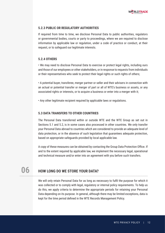

### **5.2.3 PUBLIC OR REGULATORY AUTHORITIES**

If required from time to time, we disclose Personal Data to public authorities, regulators or governmental bodies, courts or party to proceedings, where we are required to disclose information by applicable law or regulation, under a code of practice or conduct, at their request, or to safeguard our legitimate interests.

### **5.2.4 OTHERS**

• We may need to disclose Personal Data to exercise or protect legal rights, including ours and those of our employees or other stakeholders, or in response to requests from individuals or their representatives who seek to protect their legal rights or such rights of others;

• A potential buyer, transferee, merger partner or seller and their advisers in connection with an actual or potential transfer or merger of part or all of WTE's business or assets, or any associated rights or interests, or to acquire a business or enter into a merger with it;

• Any other legitimate recipient required by applicable laws or regulations.

### **5.3 DATA TRANSFERS TO OTHER COUNTRIES**

The Personal Data transferred within or outside WTE and the WTE Group as set out in Sections 5.1 and 5.2, is in some cases also processed in other countries. We only transfer your Personal Data abroad to countries which are considered to provide an adequate level of data protection, or in the absence of such legislation that guarantees adequate protection, based on appropriate safeguards provided by local applicable law.

A copy of these measures can be obtained by contacting the Group Data Protection Office. If and to the extent required by applicable law, we implement the necessary legal, operational and technical measure and/or enter into an agreement with you before such transfers.

### **06 HOW LONG DO WE STORE YOUR DATA?**

We will only retain Personal Data for as long as necessary to fulfil the purpose for which it was collected or to comply with legal, regulatory or internal policy requirements. To help us do this, we apply criteria to determine the appropriate periods for retaining your Personal Data depending on its purpose. In general, although there may be limited exceptions, data is kept for the time period defined in the WTE Records Management Policy.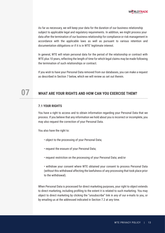As far as necessary, we will keep your data for the duration of our business relationship subject to applicable legal and regulatory requirements. In addition, we might process your data after the termination of our business relationship for compliance or risk management in accordance with the applicable laws as well as pursuant to various retention and documentation obligations or if it is in WTE' legitimate interest.

In general, WTE will retain personal data for the period of the relationship or contract with WTE plus 10 years, reflecting the length of time for which legal claims may be made following the termination of such relationships or contract.

If you wish to have your Personal Data removed from our databases, you can make a request as described in Section 7 below, which we will review as set out therein.

## **07 WHAT ARE YOUR RIGHTS AND HOW CAN YOU EXERCISE THEM?**

### **7.1 YOUR RIGHTS**

You have a right to access and to obtain information regarding your Personal Data that we process. If you believe that any information we hold about you is incorrect or incomplete, you may also request the correction of your Personal Data.

You also have the right to:

- object to the processing of your Personal Data;
- request the erasure of your Personal Data;
- request restriction on the processing of your Personal Data; and/or

• withdraw your consent where WTE obtained your consent to process Personal Data (without this withdrawal affecting the lawfulness of any processing that took place prior to the withdrawal).

When Personal Data is processed for direct marketing purposes, your right to object extends to direct marketing, including profiling to the extent it is related to such marketing. You may object to direct marketing by clicking the "unsubscribe" link in any of our e-mails to you, or by emailing us at the addressed indicated in Section 7.2 at any time.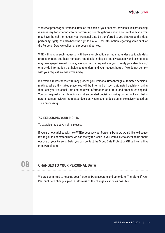

Where we process your Personal Data on the basis of your consent, or where such processing is necessary for entering into or performing our obligations under a contract with you, you may have the right to request your Personal Data be transferred to you (known as the 'data portability' right). You also have the right to ask WTE for information regarding some or all of the Personal Data we collect and process about you.

WTE will honour such requests, withdrawal or objection as required under applicable data protection rules but these rights are not absolute: they do not always apply and exemptions may be engaged. We will usually, in response to a request, ask you to verify your identity and/ or provide information that helps us to understand your request better. If we do not comply with your request, we will explain why.

In certain circumstances WTE may process your Personal Data through automated decisionmaking. Where this takes place, you will be informed of such automated decision-making that uses your Personal Data and be given information on criteria and procedures applied. You can request an explanation about automated decision making carried out and that a natural person reviews the related decision where such a decision is exclusively based on such processing.

### **7.2 EXERCISING YOUR RIGHTS**

To exercise the above rights, please:

If you are not satisfied with how WTE processes your Personal Data, we would like to discuss it with you to understand how we can rectify the issue. If you would like to speak to us about our use of your Personal Data, you can contact the Group Data Protection Office by emailing info@wtepl.com.

# **08 CHANGES TO YOUR PERSONAL DATA**

We are committed to keeping your Personal Data accurate and up to date. Therefore, if your Personal Data changes, please inform us of the change as soon as possible.